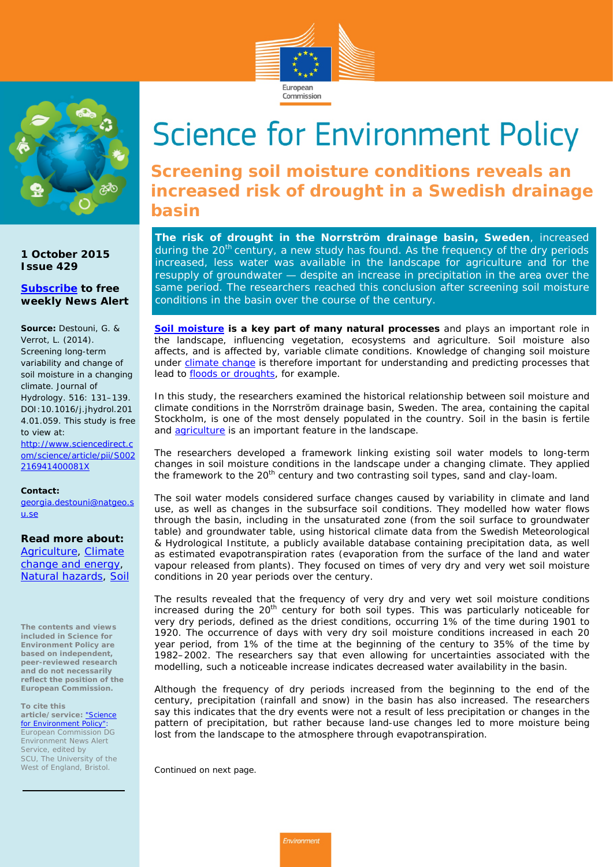



**1 October 2015 Issue 429**

### **[Subscribe](http://ec.europa.eu/environment/integration/research/newsalert/subscribe.htm) to free weekly News Alert**

**Source:** Destouni, G. & Verrot, L. (2014). Screening long-term variability and change of soil moisture in a changing climate. *Journal of Hydrology*. 516: 131–139. DOI:10.1016/j.jhydrol.201 4.01.059. This study is free to view at:

[http://www.sciencedirect.c](http://www.sciencedirect.com/science/article/pii/S002216941400081X) [om/science/article/pii/S002](http://www.sciencedirect.com/science/article/pii/S002216941400081X) [216941400081X](http://www.sciencedirect.com/science/article/pii/S002216941400081X)

**Contact:** 

[georgia.destouni@natgeo.s](mailto:georgia.destouni@natgeo.su.se) [u.se](mailto:georgia.destouni@natgeo.su.se)

**Read more about:** [Agriculture,](http://ec.europa.eu/environment/integration/research/newsalert/archive/agriculture.htm) [Climate](http://ec.europa.eu/environment/integration/research/newsalert/archive/climate-change-energy.htm)  [change and energy,](http://ec.europa.eu/environment/integration/research/newsalert/archive/climate-change-energy.htm) [Natural hazards,](http://ec.europa.eu/environment/integration/research/newsalert/archive/natural-hazards.htm) [Soil](http://ec.europa.eu/environment/integration/research/newsalert/archive/soil.htm)

**The contents and views included in Science for Environment Policy are based on independent, peer-reviewed research and do not necessarily reflect the position of the European Commission.** 

**To cite this article/service:** ["Science](http://ec.europa.eu/environment/integration/research/research_alert_en.htm)  [for Environment Policy":](http://ec.europa.eu/environment/integration/research/research_alert_en.htm) European Commission DG Environment News Alert Service, edited by SCU, The University of the West of England, Bristol.

# **Science for Environment Policy**

**Screening soil moisture conditions reveals an increased risk of drought in a Swedish drainage basin** 

**The risk of drought in the Norrström drainage basin, Sweden**, increased during the  $20<sup>th</sup>$  century, a new study has found. As the frequency of the dry periods increased, less water was available in the landscape for agriculture and for the resupply of groundwater — despite an increase in precipitation in the area over the same period. The researchers reached this conclusion after screening soil moisture conditions in the basin over the course of the century.

**[Soil moisture](http://ec.europa.eu/environment/integration/research/newsalert/archive/soil.htm) is a key part of many natural processes** and plays an important role in the landscape, influencing vegetation, ecosystems and agriculture. Soil moisture also affects, and is affected by, variable climate conditions. Knowledge of changing soil moisture under [climate change](http://ec.europa.eu/environment/integration/research/newsalert/archive/climate-change-energy.htm) is therefore important for understanding and predicting processes that lead to **floods or droughts**, for example.

In this study, the researchers examined the historical relationship between soil moisture and climate conditions in the Norrström drainage basin, Sweden. The area, containing the capital Stockholm, is one of the most densely populated in the country. Soil in the basin is fertile and [agriculture](http://ec.europa.eu/environment/integration/research/newsalert/archive/agriculture.htm) is an important feature in the landscape.

The researchers developed a framework linking existing soil water models to long-term changes in soil moisture conditions in the landscape under a changing climate. They applied the framework to the 20<sup>th</sup> century and two contrasting soil types, sand and clay-loam.

The soil water models considered surface changes caused by variability in climate and land use, as well as changes in the subsurface soil conditions. They modelled how water flows through the basin, including in the unsaturated zone (from the soil surface to groundwater table) and groundwater table, using historical climate data from the Swedish Meteorological & Hydrological Institute, a publicly available database containing precipitation data, as well as estimated evapotranspiration rates (evaporation from the surface of the land and water vapour released from plants). They focused on times of very dry and very wet soil moisture conditions in 20 year periods over the century.

The results revealed that the frequency of very dry and very wet soil moisture conditions increased during the  $20<sup>th</sup>$  century for both soil types. This was particularly noticeable for very dry periods, defined as the driest conditions, occurring 1% of the time during 1901 to 1920. The occurrence of days with very dry soil moisture conditions increased in each 20 year period, from 1% of the time at the beginning of the century to 35% of the time by 1982–2002. The researchers say that even allowing for uncertainties associated with the modelling, such a noticeable increase indicates decreased water availability in the basin.

Although the frequency of dry periods increased from the beginning to the end of the century, precipitation (rainfall and snow) in the basin has also increased. The researchers say this indicates that the dry events were not a result of less precipitation or changes in the pattern of precipitation, but rather because land-use changes led to more moisture being lost from the landscape to the atmosphere through evapotranspiration.

*Continued on next page.*

Environment